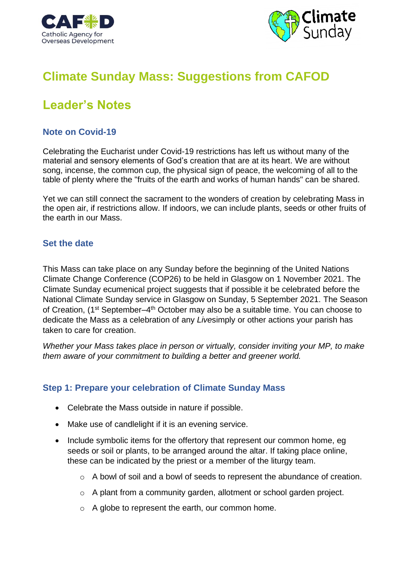



# **Climate Sunday Mass: Suggestions from CAFOD**

# **Leader's Notes**

## **Note on Covid-19**

Celebrating the Eucharist under Covid-19 restrictions has left us without many of the material and sensory elements of God's creation that are at its heart. We are without song, incense, the common cup, the physical sign of peace, the welcoming of all to the table of plenty where the "fruits of the earth and works of human hands" can be shared.

Yet we can still connect the sacrament to the wonders of creation by celebrating Mass in the open air, if restrictions allow. If indoors, we can include plants, seeds or other fruits of the earth in our Mass.

## **Set the date**

This Mass can take place on any Sunday before the beginning of the United Nations Climate Change Conference (COP26) to be held in Glasgow on 1 November 2021. The Climate Sunday ecumenical project suggests that if possible it be celebrated before the National Climate Sunday service in Glasgow on Sunday, 5 September 2021. The Season of Creation, (1<sup>st</sup> September–4<sup>th</sup> October may also be a suitable time. You can choose to dedicate the Mass as a celebration of any *Live*simply or other actions your parish has taken to care for creation.

*Whether your Mass takes place in person or virtually, consider inviting your MP, to make them aware of your commitment to building a better and greener world.*

## **Step 1: Prepare your celebration of Climate Sunday Mass**

- Celebrate the Mass outside in nature if possible.
- Make use of candlelight if it is an evening service.
- Include symbolic items for the offertory that represent our common home, eq seeds or soil or plants, to be arranged around the altar. If taking place online, these can be indicated by the priest or a member of the liturgy team.
	- o A bowl of soil and a bowl of seeds to represent the abundance of creation.
	- o A plant from a community garden, allotment or school garden project.
	- o A globe to represent the earth, our common home.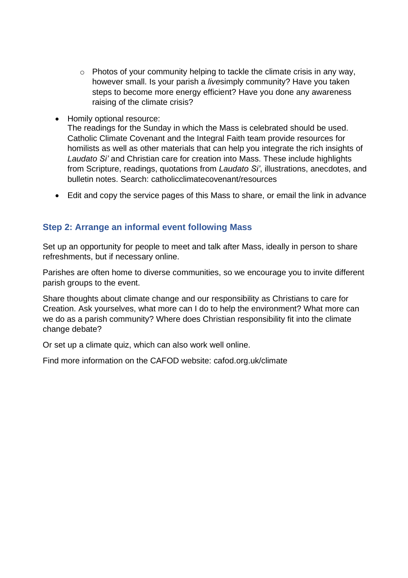- o Photos of your community helping to tackle the climate crisis in any way, however small. Is your parish a *live*simply community? Have you taken steps to become more energy efficient? Have you done any awareness raising of the climate crisis?
- Homily optional resource:

The readings for the Sunday in which the Mass is celebrated should be used. Catholic Climate Covenant and the Integral Faith team provide resources for homilists as well as other materials that can help you integrate the rich insights of *Laudato Si'* and Christian care for creation into Mass. These include highlights from Scripture, readings, quotations from *Laudato Si'*, illustrations, anecdotes, and bulletin notes. Search: catholicclimatecovenant/resources

• Edit and copy the service pages of this Mass to share, or email the link in advance

## **Step 2: Arrange an informal event following Mass**

Set up an opportunity for people to meet and talk after Mass, ideally in person to share refreshments, but if necessary online.

Parishes are often home to diverse communities, so we encourage you to invite different parish groups to the event.

Share thoughts about climate change and our responsibility as Christians to care for Creation. Ask yourselves, what more can I do to help the environment? What more can we do as a parish community? Where does Christian responsibility fit into the climate change debate?

Or set up a climate quiz, which can also work well online.

Find more information on the CAFOD website: cafod.org.uk/climate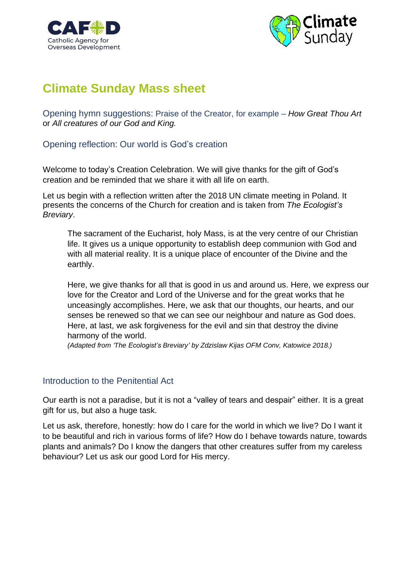



# **Climate Sunday Mass sheet**

Opening hymn suggestions: Praise of the Creator, for example – *How Great Thou Art* or *All creatures of our God and King.*

## Opening reflection: Our world is God's creation

Welcome to today's Creation Celebration. We will give thanks for the gift of God's creation and be reminded that we share it with all life on earth.

Let us begin with a reflection written after the 2018 UN climate meeting in Poland. It presents the concerns of the Church for creation and is taken from *The Ecologist's Breviary*.

The sacrament of the Eucharist, holy Mass, is at the very centre of our Christian life. It gives us a unique opportunity to establish deep communion with God and with all material reality. It is a unique place of encounter of the Divine and the earthly.

Here, we give thanks for all that is good in us and around us. Here, we express our love for the Creator and Lord of the Universe and for the great works that he unceasingly accomplishes. Here, we ask that our thoughts, our hearts, and our senses be renewed so that we can see our neighbour and nature as God does. Here, at last, we ask forgiveness for the evil and sin that destroy the divine harmony of the world.

*(Adapted from 'The Ecologist's Breviary' by Zdzislaw Kijas OFM Conv, Katowice 2018.)*

## Introduction to the Penitential Act

Our earth is not a paradise, but it is not a "valley of tears and despair" either. It is a great gift for us, but also a huge task.

Let us ask, therefore, honestly: how do I care for the world in which we live? Do I want it to be beautiful and rich in various forms of life? How do I behave towards nature, towards plants and animals? Do I know the dangers that other creatures suffer from my careless behaviour? Let us ask our good Lord for His mercy.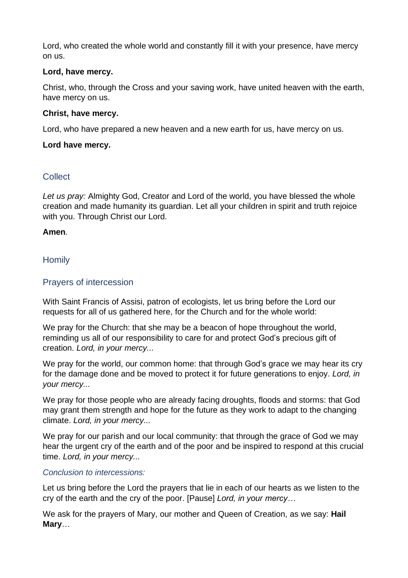Lord, who created the whole world and constantly fill it with your presence, have mercy on us.

## **Lord, have mercy.**

Christ, who, through the Cross and your saving work, have united heaven with the earth, have mercy on us.

## **Christ, have mercy.**

Lord, who have prepared a new heaven and a new earth for us, have mercy on us.

## **Lord have mercy.**

## **Collect**

*Let us pray:* Almighty God, Creator and Lord of the world, you have blessed the whole creation and made humanity its guardian. Let all your children in spirit and truth rejoice with you. Through Christ our Lord.

### **Amen***.*

## **Homily**

## Prayers of intercession

With Saint Francis of Assisi, patron of ecologists, let us bring before the Lord our requests for all of us gathered here, for the Church and for the whole world:

We pray for the Church: that she may be a beacon of hope throughout the world, reminding us all of our responsibility to care for and protect God's precious gift of creation. *Lord, in your mercy...*

We pray for the world, our common home: that through God's grace we may hear its cry for the damage done and be moved to protect it for future generations to enjoy. *Lord, in your mercy...*

We pray for those people who are already facing droughts, floods and storms: that God may grant them strength and hope for the future as they work to adapt to the changing climate. *Lord, in your mercy...*

We pray for our parish and our local community: that through the grace of God we may hear the urgent cry of the earth and of the poor and be inspired to respond at this crucial time. *Lord, in your mercy...*

### *Conclusion to intercessions:*

Let us bring before the Lord the prayers that lie in each of our hearts as we listen to the cry of the earth and the cry of the poor. [Pause] *Lord, in your mercy…*

We ask for the prayers of Mary, our mother and Queen of Creation, as we say: **Hail Mary**…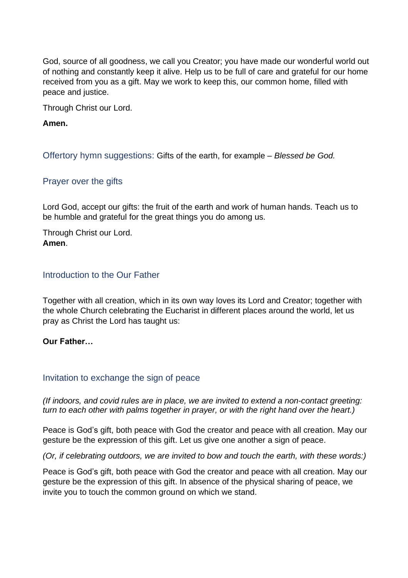God, source of all goodness, we call you Creator; you have made our wonderful world out of nothing and constantly keep it alive. Help us to be full of care and grateful for our home received from you as a gift. May we work to keep this, our common home, filled with peace and justice.

Through Christ our Lord.

**Amen.**

Offertory hymn suggestions: Gifts of the earth, for example *– Blessed be God.*

Prayer over the gifts

Lord God, accept our gifts: the fruit of the earth and work of human hands. Teach us to be humble and grateful for the great things you do among us.

Through Christ our Lord. **Amen**.

### Introduction to the Our Father

Together with all creation, which in its own way loves its Lord and Creator; together with the whole Church celebrating the Eucharist in different places around the world, let us pray as Christ the Lord has taught us:

### **Our Father…**

### Invitation to exchange the sign of peace

*(If indoors, and covid rules are in place, we are invited to extend a non-contact greeting: turn to each other with palms together in prayer, or with the right hand over the heart.)*

Peace is God's gift, both peace with God the creator and peace with all creation. May our gesture be the expression of this gift. Let us give one another a sign of peace.

*(Or, if celebrating outdoors, we are invited to bow and touch the earth, with these words:)*

Peace is God's gift, both peace with God the creator and peace with all creation. May our gesture be the expression of this gift. In absence of the physical sharing of peace, we invite you to touch the common ground on which we stand.